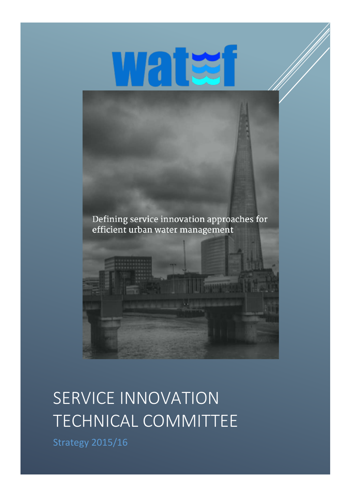

Defining service innovation approaches for efficient urban water management



# SERVICE INNOVATION TECHNICAL COMMITTEE

Strategy 2015/16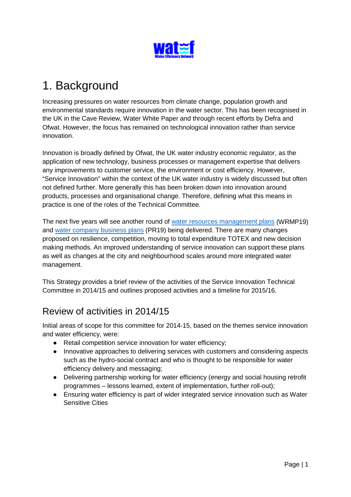

# 1. Background

Increasing pressures on water resources from climate change, population growth and environmental standards require innovation in the water sector. This has been recognised in the UK in the Cave Review, Water White Paper and through recent efforts by Defra and Ofwat. However, the focus has remained on technological innovation rather than service innovation.

Innovation is broadly defined by Ofwat, the UK water industry economic regulator, as the application of new technology, business processes or management expertise that delivers any improvements to customer service, the environment or cost efficiency. However, "Service Innovation" within the context of the UK water industry is widely discussed but often not defined further. More generally this has been broken down into innovation around products, processes and organisational change. Therefore, defining what this means in practice is one of the roles of the Technical Committee.

The next five years will see another round of [water resources management plans](https://consult.environment-agency.gov.uk/portal/ho/waterres/planning/2016) (WRMP19) and [water company business plans](http://www.ofwat.gov.uk/consultation/water-2020-consultation/?platform=hootsuite) (PR19) being delivered. There are many changes proposed on resilience, competition, moving to total expenditure TOTEX and new decision making methods. An improved understanding of service innovation can support these plans as well as changes at the city and neighbourhood scales around more integrated water management.

This Strategy provides a brief review of the activities of the Service Innovation Technical Committee in 2014/15 and outlines proposed activities and a timeline for 2015/16.

### Review of activities in 2014/15

Initial areas of scope for this committee for 2014-15, based on the themes service innovation and water efficiency, were:

- Retail competition service innovation for water efficiency;
- Innovative approaches to delivering services with customers and considering aspects such as the hydro-social contract and who is thought to be responsible for water efficiency delivery and messaging;
- Delivering partnership working for water efficiency (energy and social housing retrofit programmes – lessons learned, extent of implementation, further roll-out);
- Ensuring water efficiency is part of wider integrated service innovation such as Water Sensitive Cities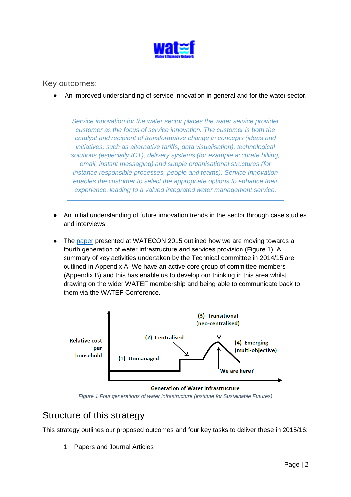

#### Key outcomes:

An improved understanding of service innovation in general and for the water sector.

*Service innovation for the water sector places the water service provider customer as the focus of service innovation. The customer is both the catalyst and recipient of transformative change in concepts (ideas and initiatives, such as alternative tariffs, data visualisation), technological solutions (especially ICT), delivery systems (for example accurate billing, email, instant messaging) and supple organisational structures (for instance responsible processes, people and teams). Service Innovation enables the customer to select the appropriate options to enhance their experience, leading to a valued integrated water management service.*

- An initial understanding of future innovation trends in the sector through case studies and interviews.
- The [paper](http://www.watefnetwork.co.uk/files/default/resources/Conference_2015/WatefCon2015_Proceedingss.pdf) presented at WATECON 2015 outlined how we are moving towards a fourth generation of water infrastructure and services provision (Figure 1). A summary of key activities undertaken by the Technical committee in 2014/15 are outlined in Appendix A. We have an active core group of committee members (Appendix B) and this has enable us to develop our thinking in this area whilst drawing on the wider WATEF membership and being able to communicate back to them via the WATEF Conference.



*Figure 1 Four generations of water infrastructure (Institute for Sustainable Futures)*

### Structure of this strategy

This strategy outlines our proposed outcomes and four key tasks to deliver these in 2015/16:

1. Papers and Journal Articles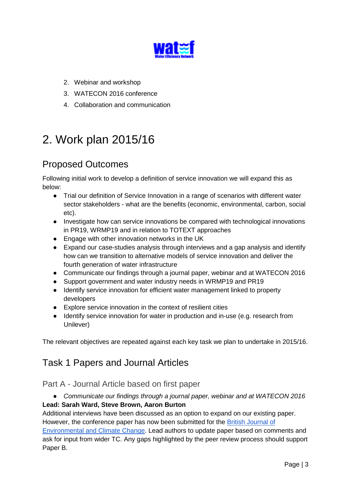

- 2. Webinar and workshop
- 3. WATECON 2016 conference
- 4. Collaboration and communication

# 2. Work plan 2015/16

## Proposed Outcomes

Following initial work to develop a definition of service innovation we will expand this as below:

- Trial our definition of Service Innovation in a range of scenarios with different water sector stakeholders - what are the benefits (economic, environmental, carbon, social etc).
- Investigate how can service innovations be compared with technological innovations in PR19, WRMP19 and in relation to TOTEXT approaches
- Engage with other innovation networks in the UK
- Expand our case-studies analysis through interviews and a gap analysis and identify how can we transition to alternative models of service innovation and deliver the fourth generation of water infrastructure
- Communicate our findings through a journal paper, webinar and at WATECON 2016
- Support government and water industry needs in WRMP19 and PR19
- Identify service innovation for efficient water management linked to property developers
- Explore service innovation in the context of resilient cities
- Identify service innovation for water in production and in-use (e.g. research from Unilever)

The relevant objectives are repeated against each key task we plan to undertake in 2015/16.

# Task 1 Papers and Journal Articles

#### Part A - Journal Article based on first paper

● *Communicate our findings through a journal paper, webinar and at WATECON 2016*

#### **Lead: Sarah Ward, Steve Brown, Aaron Burton**

Additional interviews have been discussed as an option to expand on our existing paper. However, the conference paper has now been submitted for the [British Journal of](http://www.sciencedomain.org/journal/10) 

[Environmental and Climate Change.](http://www.sciencedomain.org/journal/10) Lead authors to update paper based on comments and ask for input from wider TC. Any gaps highlighted by the peer review process should support Paper B.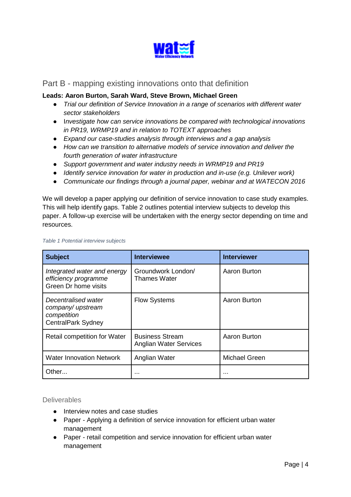

#### Part B - mapping existing innovations onto that definition

#### **Leads: Aaron Burton, Sarah Ward, Steve Brown, Michael Green**

- *Trial our definition of Service Innovation in a range of scenarios with different water sector stakeholders*
- I*nvestigate how can service innovations be compared with technological innovations in PR19, WRMP19 and in relation to TOTEXT approaches*
- *Expand our case-studies analysis through interviews and a gap analysis*
- *How can we transition to alternative models of service innovation and deliver the fourth generation of water infrastructure*
- *Support government and water industry needs in WRMP19 and PR19*
- *Identify service innovation for water in production and in-use (e.g. Unilever work)*
- *Communicate our findings through a journal paper, webinar and at WATECON 2016*

We will develop a paper applying our definition of service innovation to case study examples. This will help identify gaps. Table 2 outlines potential interview subjects to develop this paper. A follow-up exercise will be undertaken with the energy sector depending on time and resources.

| <b>Subject</b>                                                               | <b>Interviewee</b>                                      | <b>Interviewer</b> |  |  |
|------------------------------------------------------------------------------|---------------------------------------------------------|--------------------|--|--|
| Integrated water and energy<br>efficiency programme<br>Green Dr home visits  | Groundwork London/<br><b>Thames Water</b>               | Aaron Burton       |  |  |
| Decentralised water<br>company/upstream<br>competition<br>CentralPark Sydney | <b>Flow Systems</b>                                     | Aaron Burton       |  |  |
| <b>Retail competition for Water</b>                                          | <b>Business Stream</b><br><b>Anglian Water Services</b> | Aaron Burton       |  |  |
| <b>Water Innovation Network</b>                                              | Anglian Water                                           | Michael Green      |  |  |
| Other                                                                        | $\cdots$                                                | .                  |  |  |

#### *Table 1 Potential interview subjects*

#### **Deliverables**

- Interview notes and case studies
- Paper Applying a definition of service innovation for efficient urban water management
- Paper retail competition and service innovation for efficient urban water management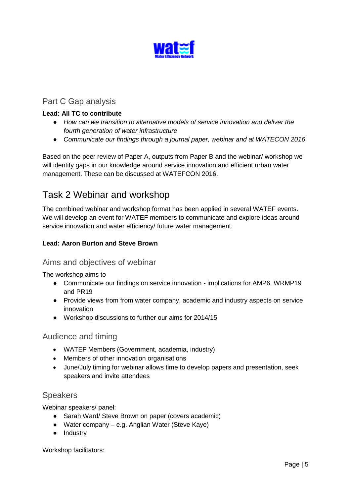

#### Part C Gap analysis

#### **Lead: All TC to contribute**

- *How can we transition to alternative models of service innovation and deliver the fourth generation of water infrastructure*
- *Communicate our findings through a journal paper, webinar and at WATECON 2016*

Based on the peer review of Paper A, outputs from Paper B and the webinar/ workshop we will identify gaps in our knowledge around service innovation and efficient urban water management. These can be discussed at WATEFCON 2016.

### Task 2 Webinar and workshop

The combined webinar and workshop format has been applied in several WATEF events. We will develop an event for WATEF members to communicate and explore ideas around service innovation and water efficiency/ future water management.

#### **Lead: Aaron Burton and Steve Brown**

#### Aims and objectives of webinar

The workshop aims to

- Communicate our findings on service innovation implications for AMP6, WRMP19 and PR19
- Provide views from from water company, academic and industry aspects on service innovation
- Workshop discussions to further our aims for 2014/15

#### Audience and timing

- WATEF Members (Government, academia, industry)
- Members of other innovation organisations
- June/July timing for webinar allows time to develop papers and presentation, seek speakers and invite attendees

#### Speakers

Webinar speakers/ panel:

- Sarah Ward/ Steve Brown on paper (covers academic)
- Water company e.g. Anglian Water (Steve Kaye)
- Industry

Workshop facilitators: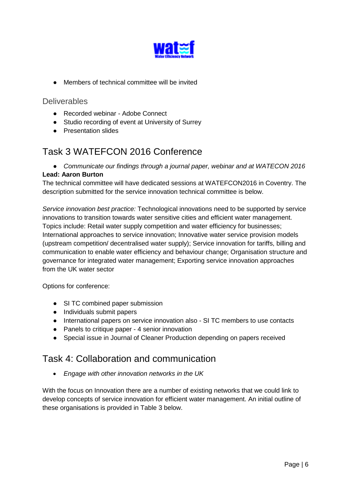

● Members of technical committee will be invited

#### **Deliverables**

- Recorded webinar Adobe Connect
- Studio recording of event at University of Surrey
- Presentation slides

### Task 3 WATEFCON 2016 Conference

● *Communicate our findings through a journal paper, webinar and at WATECON 2016*

#### **Lead: Aaron Burton**

The technical committee will have dedicated sessions at WATEFCON2016 in Coventry. The description submitted for the service innovation technical committee is below.

*Service innovation best practice:* Technological innovations need to be supported by service innovations to transition towards water sensitive cities and efficient water management. Topics include: Retail water supply competition and water efficiency for businesses; International approaches to service innovation; Innovative water service provision models (upstream competition/ decentralised water supply); Service innovation for tariffs, billing and communication to enable water efficiency and behaviour change; Organisation structure and governance for integrated water management; Exporting service innovation approaches from the UK water sector

Options for conference:

- SI TC combined paper submission
- Individuals submit papers
- International papers on service innovation also SI TC members to use contacts
- Panels to critique paper 4 senior innovation
- Special issue in Journal of Cleaner Production depending on papers received

### Task 4: Collaboration and communication

• *Engage with other innovation networks in the UK*

With the focus on Innovation there are a number of existing networks that we could link to develop concepts of service innovation for efficient water management. An initial outline of these organisations is provided in Table 3 below.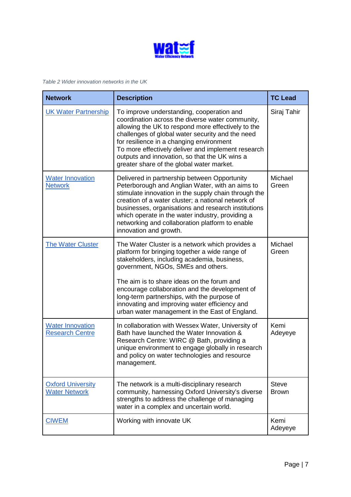

*Table 2 Wider innovation networks in the UK*

| <b>Network</b>                                    | <b>Description</b>                                                                                                                                                                                                                                                                                                                                                                                                                       | <b>TC Lead</b>               |
|---------------------------------------------------|------------------------------------------------------------------------------------------------------------------------------------------------------------------------------------------------------------------------------------------------------------------------------------------------------------------------------------------------------------------------------------------------------------------------------------------|------------------------------|
| <b>UK Water Partnership</b>                       | To improve understanding, cooperation and<br>coordination across the diverse water community,<br>allowing the UK to respond more effectively to the<br>challenges of global water security and the need<br>for resilience in a changing environment<br>To more effectively deliver and implement research<br>outputs and innovation, so that the UK wins a<br>greater share of the global water market.                                  | Siraj Tahir                  |
| <b>Water Innovation</b><br><b>Network</b>         | Delivered in partnership between Opportunity<br>Peterborough and Anglian Water, with an aims to<br>stimulate innovation in the supply chain through the<br>creation of a water cluster; a national network of<br>businesses, organisations and research institutions<br>which operate in the water industry, providing a<br>networking and collaboration platform to enable<br>innovation and growth.                                    | Michael<br>Green             |
| <b>The Water Cluster</b>                          | The Water Cluster is a network which provides a<br>platform for bringing together a wide range of<br>stakeholders, including academia, business,<br>government, NGOs, SMEs and others.<br>The aim is to share ideas on the forum and<br>encourage collaboration and the development of<br>long-term partnerships, with the purpose of<br>innovating and improving water efficiency and<br>urban water management in the East of England. | Michael<br>Green             |
| <b>Water Innovation</b><br><b>Research Centre</b> | In collaboration with Wessex Water, University of<br>Bath have launched the Water Innovation &<br>Research Centre: WIRC @ Bath, providing a<br>unique environment to engage globally in research<br>and policy on water technologies and resource<br>management.                                                                                                                                                                         | Kemi<br>Adeyeye              |
| <b>Oxford University</b><br><b>Water Network</b>  | The network is a multi-disciplinary research<br>community, harnessing Oxford University's diverse<br>strengths to address the challenge of managing<br>water in a complex and uncertain world.                                                                                                                                                                                                                                           | <b>Steve</b><br><b>Brown</b> |
| <b>CIWEM</b>                                      | Working with innovate UK                                                                                                                                                                                                                                                                                                                                                                                                                 | Kemi<br>Adeyeye              |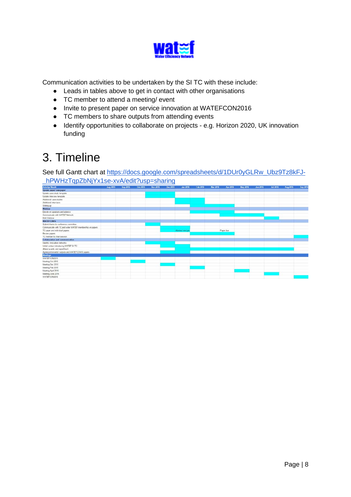

Communication activities to be undertaken by the SI TC with these include:

- Leads in tables above to get in contact with other organisations
- TC member to attend a meeting/ event
- Invite to present paper on service innovation at WATEFCON2016
- TC members to share outputs from attending events
- Identify opportunities to collaborate on projects e.g. Horizon 2020, UK innovation funding

# 3. Timeline

See full Gantt chart at [https://docs.google.com/spreadsheets/d/1DUr0yGLRw\\_Ubz9Tz8kFJ-](https://docs.google.com/spreadsheets/d/1DUr0yGLRw_Ubz9Tz8kFJ-_hPWHzTqpZbNjYx1se-xvA/edit?usp=sharing) [\\_hPWHzTqpZbNjYx1se-xvA/edit?usp=sharing](https://docs.google.com/spreadsheets/d/1DUr0yGLRw_Ubz9Tz8kFJ-_hPWHzTqpZbNjYx1se-xvA/edit?usp=sharing)

| <b>Activity! Month</b>                                   | Aug 2015 | Sep 2015 | Oct 2015 | Nov 2015 | Dec 2015 | <b>Jan 2016</b>  | Feb 2016 | <b>Mar-2016</b> | Apr 2016  | <b>May 2016</b> | Jun 2016                                                 | <b>Jul 2016</b> | Aug 2016 | <b>Sep 2016</b> |
|----------------------------------------------------------|----------|----------|----------|----------|----------|------------------|----------|-----------------|-----------|-----------------|----------------------------------------------------------|-----------------|----------|-----------------|
| Update paper/ new paper                                  |          |          |          |          |          |                  |          |                 |           |                 |                                                          |                 |          |                 |
| Update case study template                               |          |          |          |          |          |                  |          |                 |           |                 |                                                          |                 |          |                 |
| Update interview template                                |          |          |          |          |          |                  |          |                 |           |                 |                                                          |                 |          |                 |
| Additional case studies                                  |          |          |          |          |          |                  |          |                 |           |                 |                                                          |                 |          |                 |
| Additional interviews                                    |          |          |          |          |          |                  |          |                 |           |                 |                                                          |                 |          |                 |
| Writing-up                                               |          |          |          |          |          |                  |          |                 |           |                 |                                                          |                 |          |                 |
| Webinar                                                  |          |          |          |          |          |                  |          |                 |           |                 |                                                          |                 |          |                 |
| Decide on speakers and adience                           |          |          |          |          |          |                  |          |                 |           |                 |                                                          |                 |          |                 |
| Communicate with WATEF Network                           |          |          |          |          |          |                  |          |                 |           |                 |                                                          |                 |          |                 |
| <b>Hold Webinar</b>                                      |          |          |          |          |          |                  |          |                 |           |                 |                                                          |                 |          |                 |
| <b>WATEFCON16</b>                                        |          |          |          |          |          |                  |          |                 |           |                 |                                                          |                 |          |                 |
| Submit theme to conference committee                     |          |          |          |          |          |                  |          |                 |           |                 |                                                          |                 |          |                 |
| Communicate with TC and wider WATEF membership on papers |          |          |          |          |          |                  |          |                 |           |                 |                                                          |                 |          |                 |
| TC paper and individual papers                           |          |          |          |          |          | Abstract end jar |          |                 | Paper due |                 |                                                          |                 |          |                 |
| Review papers                                            |          |          |          |          |          |                  |          |                 |           |                 |                                                          |                 |          |                 |
| TC member to chair session                               |          |          |          |          |          |                  |          |                 |           |                 |                                                          |                 |          |                 |
| <b>Collaboration and communication</b>                   |          |          |          |          |          |                  |          |                 |           |                 |                                                          |                 |          |                 |
| Identify innovation networks                             |          |          |          |          |          |                  |          |                 |           |                 |                                                          |                 |          |                 |
| Initial contact introducing WATEF St TC                  |          |          |          |          |          |                  |          |                 |           |                 |                                                          |                 |          |                 |
| Attend events and report back                            |          |          |          |          |          |                  |          |                 |           |                 |                                                          |                 |          |                 |
| Agree joint events/ outputs and WATEFCON16 papers        |          |          |          |          |          |                  |          |                 |           |                 | <u> 1989 - Jan Stone, Amerikaansk politiker († 1908)</u> |                 |          |                 |
| <b>Meetings</b>                                          |          |          |          |          |          |                  |          |                 |           |                 |                                                          |                 |          |                 |
| WATEFCON2015                                             |          |          |          |          |          |                  |          |                 |           |                 |                                                          |                 |          |                 |
| Meeting Oct 2015                                         |          |          |          |          |          |                  |          |                 |           |                 |                                                          |                 |          |                 |
| Meeting Dec 2015                                         |          |          |          |          |          |                  |          |                 |           |                 |                                                          |                 |          |                 |
| Meeting Feb 2016                                         |          |          |          |          |          |                  |          |                 |           |                 |                                                          |                 |          |                 |
| Meeting April 2016                                       |          |          |          |          |          |                  |          |                 |           |                 |                                                          |                 |          |                 |
| Meeting June 2016                                        |          |          |          |          |          |                  |          |                 |           |                 |                                                          |                 |          |                 |
| WATEFCON2016                                             |          |          |          |          |          |                  |          |                 |           |                 |                                                          |                 |          |                 |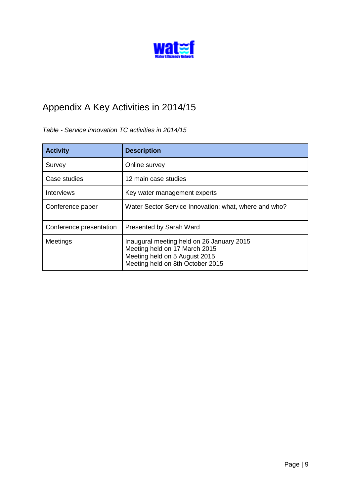

# Appendix A Key Activities in 2014/15

#### *Table - Service innovation TC activities in 2014/15*

| <b>Activity</b>         | <b>Description</b>                                                                                                                              |
|-------------------------|-------------------------------------------------------------------------------------------------------------------------------------------------|
| Survey                  | Online survey                                                                                                                                   |
| Case studies            | 12 main case studies                                                                                                                            |
| <b>Interviews</b>       | Key water management experts                                                                                                                    |
| Conference paper        | Water Sector Service Innovation: what, where and who?                                                                                           |
| Conference presentation | <b>Presented by Sarah Ward</b>                                                                                                                  |
| Meetings                | Inaugural meeting held on 26 January 2015<br>Meeting held on 17 March 2015<br>Meeting held on 5 August 2015<br>Meeting held on 8th October 2015 |